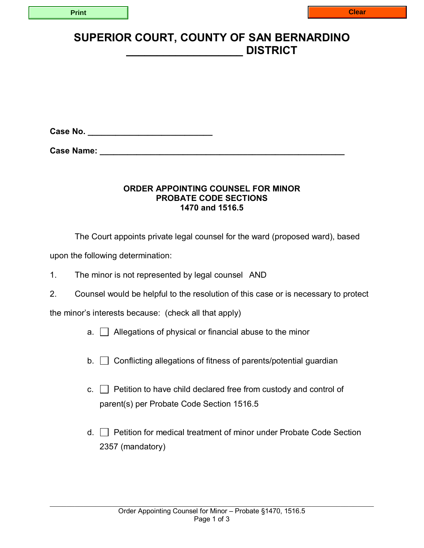## **SUPERIOR COURT, COUNTY OF SAN BERNARDINO \_\_\_\_\_\_\_\_\_\_\_\_\_\_\_\_\_\_\_ DISTRICT**

**Case No. \_\_\_\_\_\_\_\_\_\_\_\_\_\_\_\_\_\_\_\_\_\_\_\_\_\_\_** 

**Case Name:**  $\blacksquare$ 

## **ORDER APPOINTING COUNSEL FOR MINOR PROBATE CODE SECTIONS 1470 and 1516.5**

The Court appoints private legal counsel for the ward (proposed ward), based

upon the following determination:

- 1. The minor is not represented by legal counsel AND
- 2. Counsel would be helpful to the resolution of this case or is necessary to protect

the minor's interests because: (check all that apply)

- $a.$   $\Box$  Allegations of physical or financial abuse to the minor
- $b.$   $\Box$  Conflicting allegations of fitness of parents/potential guardian
- c.  $\Box$  Petition to have child declared free from custody and control of parent(s) per Probate Code Section 1516.5
- $d.$  Petition for medical treatment of minor under Probate Code Section 2357 (mandatory)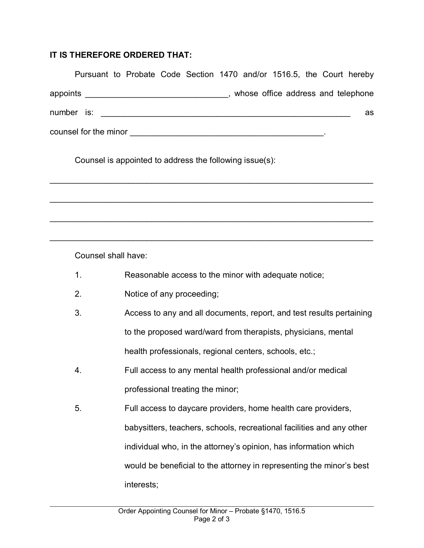## **IT IS THEREFORE ORDERED THAT:**

| Pursuant to Probate Code Section 1470 and/or 1516.5, the Court hereby |  |  |  |                                    |  |    |
|-----------------------------------------------------------------------|--|--|--|------------------------------------|--|----|
| appoints __________________________________                           |  |  |  | whose office address and telephone |  |    |
| $number$ is: $\_\_\_\_\_\_\_\_\_\_\_\_\_\_\_\_\_$                     |  |  |  |                                    |  | as |
| counsel for the minor                                                 |  |  |  |                                    |  |    |

 $\mathcal{L}_\text{max}$  , and the contract of the contract of the contract of the contract of the contract of the contract of

 $\mathcal{L}_\text{max} = \mathcal{L}_\text{max} = \mathcal{L}_\text{max} = \mathcal{L}_\text{max} = \mathcal{L}_\text{max} = \mathcal{L}_\text{max} = \mathcal{L}_\text{max} = \mathcal{L}_\text{max} = \mathcal{L}_\text{max} = \mathcal{L}_\text{max} = \mathcal{L}_\text{max} = \mathcal{L}_\text{max} = \mathcal{L}_\text{max} = \mathcal{L}_\text{max} = \mathcal{L}_\text{max} = \mathcal{L}_\text{max} = \mathcal{L}_\text{max} = \mathcal{L}_\text{max} = \mathcal{$ 

 $\mathcal{L}_\text{max}$  , and the contract of the contract of the contract of the contract of the contract of the contract of

 $\mathcal{L}_\text{max} = \mathcal{L}_\text{max} = \mathcal{L}_\text{max} = \mathcal{L}_\text{max} = \mathcal{L}_\text{max} = \mathcal{L}_\text{max} = \mathcal{L}_\text{max} = \mathcal{L}_\text{max} = \mathcal{L}_\text{max} = \mathcal{L}_\text{max} = \mathcal{L}_\text{max} = \mathcal{L}_\text{max} = \mathcal{L}_\text{max} = \mathcal{L}_\text{max} = \mathcal{L}_\text{max} = \mathcal{L}_\text{max} = \mathcal{L}_\text{max} = \mathcal{L}_\text{max} = \mathcal{$ 

Counsel is appointed to address the following issue(s):

Counsel shall have:

- 1. Reasonable access to the minor with adequate notice;
- 2. Notice of any proceeding;
- 3. Access to any and all documents, report, and test results pertaining to the proposed ward/ward from therapists, physicians, mental health professionals, regional centers, schools, etc.;
- 4. Full access to any mental health professional and/or medical professional treating the minor;
- 5. Full access to daycare providers, home health care providers, babysitters, teachers, schools, recreational facilities and any other individual who, in the attorney's opinion, has information which would be beneficial to the attorney in representing the minor's best interests;